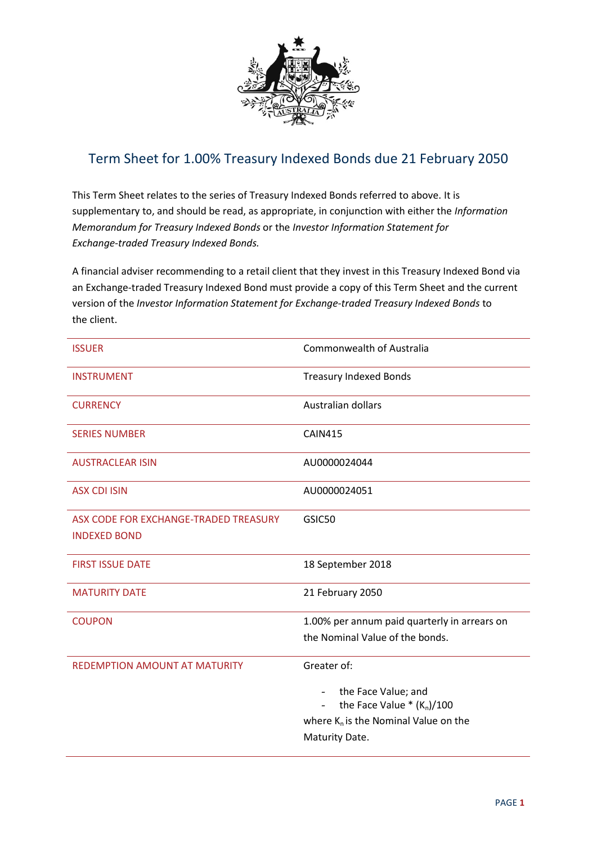

## Term Sheet for 1.00% Treasury Indexed Bonds due 21 February 2050

This Term Sheet relates to the series of Treasury Indexed Bonds referred to above. It is supplementary to, and should be read, as appropriate, in conjunction with either the *Information Memorandum for Treasury Indexed Bonds* or the *Investor Information Statement for Exchange-traded Treasury Indexed Bonds.*

A financial adviser recommending to a retail client that they invest in this Treasury Indexed Bond via an Exchange-traded Treasury Indexed Bond must provide a copy of this Term Sheet and the current version of the *Investor Information Statement for Exchange-traded Treasury Indexed Bonds* to the client.

| <b>ISSUER</b>                                                | Commonwealth of Australia                               |
|--------------------------------------------------------------|---------------------------------------------------------|
| <b>INSTRUMENT</b>                                            | <b>Treasury Indexed Bonds</b>                           |
| <b>CURRENCY</b>                                              | Australian dollars                                      |
| <b>SERIES NUMBER</b>                                         | <b>CAIN415</b>                                          |
| <b>AUSTRACLEAR ISIN</b>                                      | AU0000024044                                            |
| <b>ASX CDI ISIN</b>                                          | AU0000024051                                            |
| ASX CODE FOR EXCHANGE-TRADED TREASURY<br><b>INDEXED BOND</b> | GSIC50                                                  |
| <b>FIRST ISSUE DATE</b>                                      | 18 September 2018                                       |
| <b>MATURITY DATE</b>                                         | 21 February 2050                                        |
| <b>COUPON</b>                                                | 1.00% per annum paid quarterly in arrears on            |
|                                                              | the Nominal Value of the bonds.                         |
| <b>REDEMPTION AMOUNT AT MATURITY</b>                         | Greater of:                                             |
|                                                              | - the Face Value; and                                   |
|                                                              | the Face Value $*(K_n)/100$<br>$\overline{\phantom{0}}$ |
|                                                              | where $K_n$ is the Nominal Value on the                 |
|                                                              | Maturity Date.                                          |